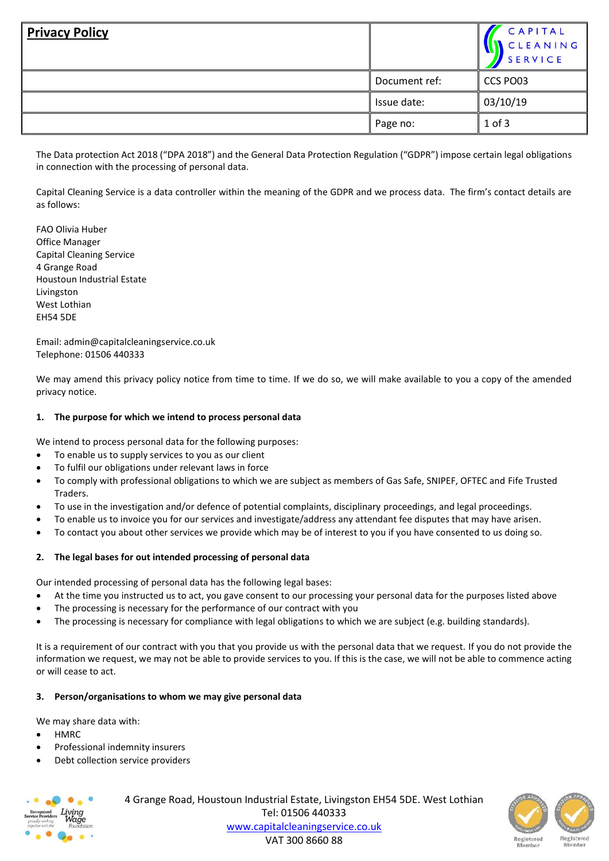| <b>Privacy Policy</b> |               | CAPITAL<br>CLEANING<br><b>SERVICE</b> |
|-----------------------|---------------|---------------------------------------|
|                       | Document ref: | CCS PO03                              |
|                       | Issue date:   | 03/10/19                              |
|                       | Page no:      | $1$ of $3$                            |

The Data protection Act 2018 ("DPA 2018") and the General Data Protection Regulation ("GDPR") impose certain legal obligations in connection with the processing of personal data.

Capital Cleaning Service is a data controller within the meaning of the GDPR and we process data. The firm's contact details are as follows:

FAO Olivia Huber Office Manager Capital Cleaning Service 4 Grange Road Houstoun Industrial Estate Livingston West Lothian EH54 5DE

Email: admin@capitalcleaningservice.co.uk Telephone: 01506 440333

We may amend this privacy policy notice from time to time. If we do so, we will make available to you a copy of the amended privacy notice.

# **1. The purpose for which we intend to process personal data**

We intend to process personal data for the following purposes:

- To enable us to supply services to you as our client
- To fulfil our obligations under relevant laws in force
- To comply with professional obligations to which we are subject as members of Gas Safe, SNIPEF, OFTEC and Fife Trusted Traders.
- To use in the investigation and/or defence of potential complaints, disciplinary proceedings, and legal proceedings.
- To enable us to invoice you for our services and investigate/address any attendant fee disputes that may have arisen.
- To contact you about other services we provide which may be of interest to you if you have consented to us doing so.

### **2. The legal bases for out intended processing of personal data**

Our intended processing of personal data has the following legal bases:

- At the time you instructed us to act, you gave consent to our processing your personal data for the purposes listed above
- The processing is necessary for the performance of our contract with you
- The processing is necessary for compliance with legal obligations to which we are subject (e.g. building standards).

It is a requirement of our contract with you that you provide us with the personal data that we request. If you do not provide the information we request, we may not be able to provide services to you. If this is the case, we will not be able to commence acting or will cease to act.

# **3. Person/organisations to whom we may give personal data**

We may share data with:

- HMRC
- Professional indemnity insurers
- Debt collection service providers



4 Grange Road, Houstoun Industrial Estate, Livingston EH54 5DE. West Lothian Tel: 01506 440333 [www.capitalcleaningservice.co.uk](http://www.capitalcleaningservice.co.uk/) VAT 300 8660 88

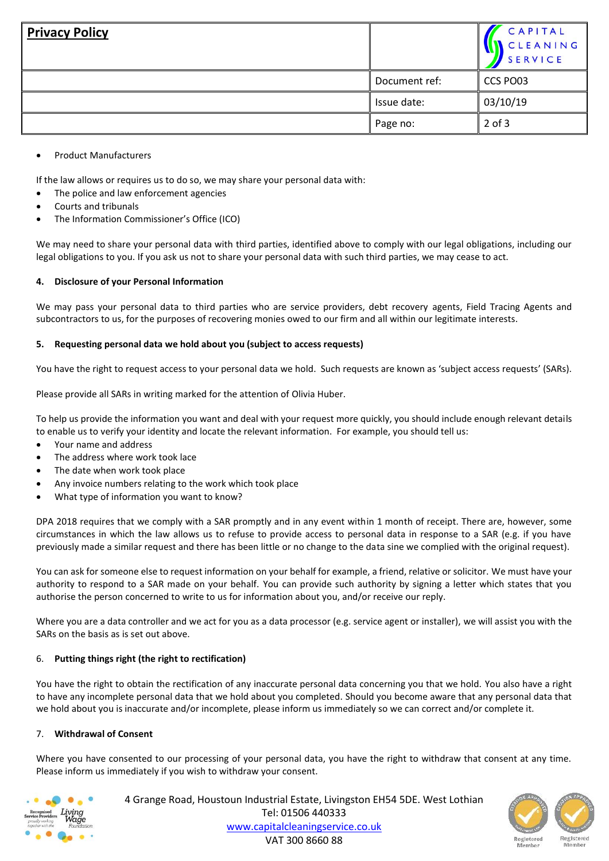| <b>Privacy Policy</b> |               | CAPITAL<br>CLEANING<br><b>SERVICE</b> |
|-----------------------|---------------|---------------------------------------|
|                       | Document ref: | CCS PO03                              |
|                       | Issue date:   | 03/10/19                              |
|                       | Page no:      | $2$ of $3$                            |

• Product Manufacturers

If the law allows or requires us to do so, we may share your personal data with:

- The police and law enforcement agencies
- Courts and tribunals
- The Information Commissioner's Office (ICO)

We may need to share your personal data with third parties, identified above to comply with our legal obligations, including our legal obligations to you. If you ask us not to share your personal data with such third parties, we may cease to act.

### **4. Disclosure of your Personal Information**

We may pass your personal data to third parties who are service providers, debt recovery agents, Field Tracing Agents and subcontractors to us, for the purposes of recovering monies owed to our firm and all within our legitimate interests.

### **5. Requesting personal data we hold about you (subject to access requests)**

You have the right to request access to your personal data we hold. Such requests are known as 'subject access requests' (SARs).

Please provide all SARs in writing marked for the attention of Olivia Huber.

To help us provide the information you want and deal with your request more quickly, you should include enough relevant details to enable us to verify your identity and locate the relevant information. For example, you should tell us:

- Your name and address
- The address where work took lace
- The date when work took place
- Any invoice numbers relating to the work which took place
- What type of information you want to know?

DPA 2018 requires that we comply with a SAR promptly and in any event within 1 month of receipt. There are, however, some circumstances in which the law allows us to refuse to provide access to personal data in response to a SAR (e.g. if you have previously made a similar request and there has been little or no change to the data sine we complied with the original request).

You can ask for someone else to request information on your behalf for example, a friend, relative or solicitor. We must have your authority to respond to a SAR made on your behalf. You can provide such authority by signing a letter which states that you authorise the person concerned to write to us for information about you, and/or receive our reply.

Where you are a data controller and we act for you as a data processor (e.g. service agent or installer), we will assist you with the SARs on the basis as is set out above.

# 6. **Putting things right (the right to rectification)**

You have the right to obtain the rectification of any inaccurate personal data concerning you that we hold. You also have a right to have any incomplete personal data that we hold about you completed. Should you become aware that any personal data that we hold about you is inaccurate and/or incomplete, please inform us immediately so we can correct and/or complete it.

### 7. **Withdrawal of Consent**

Where you have consented to our processing of your personal data, you have the right to withdraw that consent at any time. Please inform us immediately if you wish to withdraw your consent.

| Recognised                           |                              |
|--------------------------------------|------------------------------|
| Service Providers<br>proudly working |                              |
| together with the                    | Living<br>Wage<br>Foundation |

4 Grange Road, Houstoun Industrial Estate, Livingston EH54 5DE. West Lothian Tel: 01506 440333 [www.capitalcleaningservice.co.uk](http://www.capitalcleaningservice.co.uk/) VAT 300 8660 88